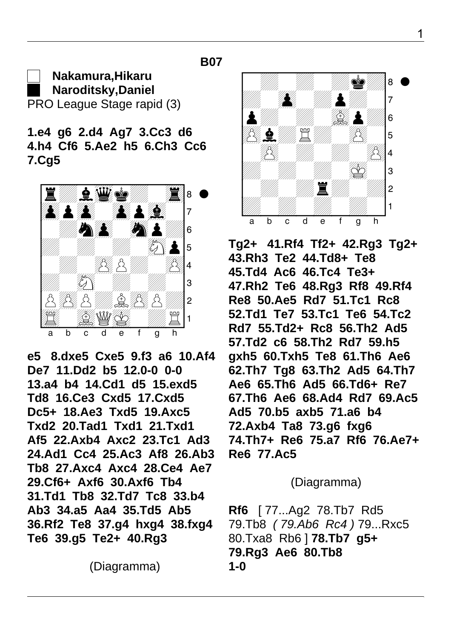## **Nakamura,Hikaru Naroditsky,Daniel** PRO League Stage rapid (3)

 **1.e4 g6 2.d4 Ag7 3.Cc3 d6 4.h4 Cf6 5.Ae2 h5 6.Ch3 Cc6 7.Cg5**

**B07**



 **e5 8.dxe5 Cxe5 9.f3 a6 10.Af4 De7 11.Dd2 b5 12.0-0 0-0 13.a4 b4 14.Cd1 d5 15.exd5 Td8 16.Ce3 Cxd5 17.Cxd5 Dc5+ 18.Ae3 Txd5 19.Axc5 Txd2 20.Tad1 Txd1 21.Txd1 Af5 22.Axb4 Axc2 23.Tc1 Ad3 24.Ad1 Cc4 25.Ac3 Af8 26.Ab3 Tb8 27.Axc4 Axc4 28.Ce4 Ae7 29.Cf6+ Axf6 30.Axf6 Tb4 31.Td1 Tb8 32.Td7 Tc8 33.b4 Ab3 34.a5 Aa4 35.Td5 Ab5 36.Rf2 Te8 37.g4 hxg4 38.fxg4 Te6 39.g5 Te2+ 40.Rg3**

(Diagramma)



 **Tg2+ 41.Rf4 Tf2+ 42.Rg3 Tg2+ 43.Rh3 Te2 44.Td8+ Te8 45.Td4 Ac6 46.Tc4 Te3+ 47.Rh2 Te6 48.Rg3 Rf8 49.Rf4 Re8 50.Ae5 Rd7 51.Tc1 Rc8 52.Td1 Te7 53.Tc1 Te6 54.Tc2 Rd7 55.Td2+ Rc8 56.Th2 Ad5 57.Td2 c6 58.Th2 Rd7 59.h5 gxh5 60.Txh5 Te8 61.Th6 Ae6 62.Th7 Tg8 63.Th2 Ad5 64.Th7 Ae6 65.Th6 Ad5 66.Td6+ Re7 67.Th6 Ae6 68.Ad4 Rd7 69.Ac5 Ad5 70.b5 axb5 71.a6 b4 72.Axb4 Ta8 73.g6 fxg6 74.Th7+ Re6 75.a7 Rf6 76.Ae7+ Re6 77.Ac5**

## (Diagramma)

 **Rf6** [ 77...Ag2 78.Tb7 Rd5 79.Tb8 ( 79.Ab6 Rc4 ) 79...Rxc5 80.Txa8 Rb6 ] **78.Tb7 g5+ 79.Rg3 Ae6 80.Tb8 1-0**